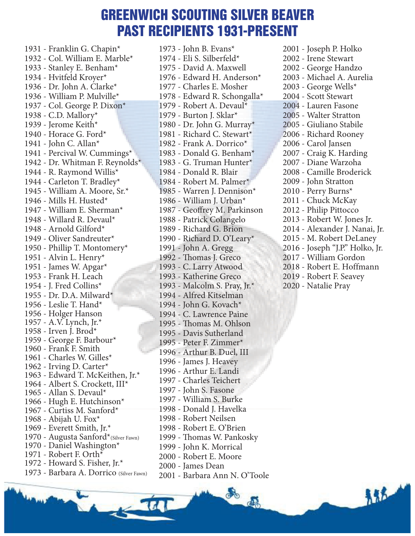#### GREENWICH SCOUTING SILVER BEAVER PAST RECIPIENTS 1931-PRESENT

1931 - Franklin G. Chapin\* 1932 - Col. William E. Marble\* 1933 - Stanley E. Benham\* 1934 - Hvitfeld Kroyer\* 1936 - Dr. John A. Clarke\* 1936 - William P. Mulville\* 1937 - Col. George P. Dixon\* 1938 - C.D. Mallory\* 1939 - Jerome Keith\* 1940 - Horace G. Ford\* 1941 - John C. Allan\* 1941 - Percival W. Cummings\* 1942 - Dr. Whitman F. Reynolds\* 1944 - R. Raymond Willis\* 1944 - Carleton T. Bradley\* 1945 - William A. Moore, Sr.\* 1946 - Mills H. Husted\* 1947 - William E. Sherman\* 1948 - Willard R. Devaul\* 1948 - Arnold Gilford\* 1949 - Oliver Sandreuter\* 1950 - Phillip T. Montomery\* 1951 - Alvin L. Henry\* 1951 - James W. Apgar\* 1953 - Frank H. Leach 1954 - J. Fred Collins\* 1955 - Dr. D.A. Milward\* 1956 - Leslie T. Hand\* 1956 - Holger Hanson 1957 - A.V. Lynch, Jr.\* 1958 - Irven J. Brod\* 1959 - George F. Barbour\* 1960 - Frank F. Smith 1961 - Charles W. Gilles\* 1962 - Irving D. Carter\* 1963 - Edward T. McKeithen, Jr.\* 1964 - Albert S. Crockett, III\* 1965 - Allan S. Devaul\* 1966 - Hugh E. Hutchinson\* 1967 - Curtiss M. Sanford\* 1968 - Abijah U. Fox\* 1969 - Everett Smith, Jr.\* 1970 - Augusta Sanford\*(Silver Fawn) 1970 - Daniel Washington\* 1971 - Robert F. Orth $*$ 1972 - Howard S. Fisher, Jr.\* 1973 - Barbara A. Dorrico (Silver Fawn) 1973 - John B. Evans\* 1974 - Eli S. Silberfeld\* 1975 - David A. Maxwell 1976 - Edward H. Anderson\* 1977 - Charles E. Mosher 1978 - Edward R. Schongalla\* 1979 - Robert A. Devaul\* 1979 - Burton J. Sklar\* 1980 - Dr. John G. Murray\* 1981 - Richard C. Stewart\* 1982 - Frank A. Dorrico\* 1983 - Donald G. Benham\* 1983 - G. Truman Hunter\* 1984 - Donald R. Blair 1984 - Robert M. Palmer\* 1985 - Warren J. Dennison\* 1986 - William J. Urban\* 1987 - Geoffrey M. Parkinson 1988 - Patrick Colangelo 1989 - Richard G. Brion 1990 - Richard D. O'Leary\* 1991 - John A. Gregg 1992 - Thomas J. Greco 1993 - C. Larry Atwood 1993 - Katherine Greco 1993 - Malcolm S. Pray, Jr.\* 1994 - Alfred Kitselman 1994 - John G. Kovach\* 1994 - C. Lawrence Paine 1995 - Thomas M. Ohlson 1995 - Davis Sutherland 1995 - Peter F. Zimmer\* 1996 - Arthur B. Duel, III 1996 - James J. Heavey 1996 - Arthur E. Landi 1997 - Charles Teichert 1997 - John S. Fasone 1997 - William S. Burke 1998 - Donald J. Havelka 1998 - Robert Neilsen 1998 - Robert E. O'Brien 1999 - Thomas W. Pankosky 1999 - John K. Morrical 2000 - Robert E. Moore 2000 - James Dean 2001 - Barbara Ann N. O'Toole

a.

THE

d.

2001 - Joseph P. Holko 2002 - Irene Stewart 2002 - George Handzo 2003 - Michael A. Aurelia 2003 - George Wells\* 2004 - Scott Stewart 2004 - Lauren Fasone 2005 - Walter Stratton 2005 - Giuliano Stabile 2006 - Richard Rooney 2006 - Carol Jansen 2007 - Craig K. Harding 2007 - Diane Warzoha 2008 - Camille Broderick 2009 - John Stratton 2010 - Perry Burns\* 2011 - Chuck McKay 2012 - Philip Pittocco 2013 - Robert W. Jones Jr. 2014 - Alexander J. Nanai, Jr. 2015 - M. Robert DeLaney 2016 - Joseph "J.P." Holko, Jr. 2017 - William Gordon 2018 - Robert E. Hoffmann 2019 - Robert F. Seavey 2020 - Natalie Pray

85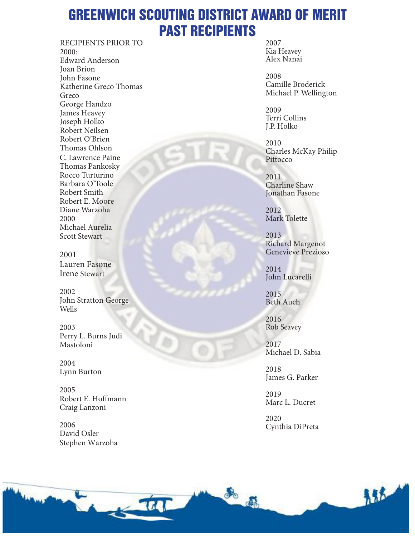# GREENWICH SCOUTING DISTRICT AWARD OF MERIT PAST RECIPIENTS

RECIPIENTS PRIOR TO 2000: Edward Anderson Joan Brion John Fasone Katherine Greco Thomas Greco George Handzo James Heavey Joseph Holko Robert Neilsen Robert O'Brien Thomas Ohlson C. Lawrence Paine Thomas Pankosky Rocco Turturino Barbara O'Toole Robert Smith Robert E. Moore Diane Warzoha 2000 Michael Aurelia Scott Stewart

2001 Lauren Fasone Irene Stewart

2002 John Stratton George Wells

2003 Perry L. Burns Judi Mastoloni

2004 Lynn Burton

2005 Robert E. Hoffmann Craig Lanzoni

2006 David Osler Stephen Warzoha 2007 Kia Heavey Alex Nanai

2008 Camille Broderick Michael P. Wellington

2009 Terri Collins J.P. Holko

2010 Charles McKay Philip Pittocco

2011 Charline Shaw Jonathan Fasone

2012 Mark Tolette

2013 Richard Margenot Genevieve Prezioso

2014 John Lucarelli

2015 Beth Auch

2016 Rob Seavey

2017 Michael D. Sabia

2018 James G. Parker

2019 Marc L. Ducret

2020 Cynthia DiPreta

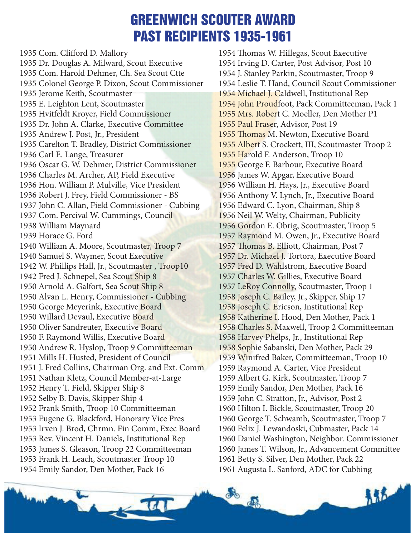# GREENWICH SCOUTER AWARD PAST RECIPIENTS 1935-1961

1935 Com. Clifford D. Mallory 1935 Dr. Douglas A. Milward, Scout Executive 1935 Com. Harold Dehmer, Ch. Sea Scout Ctte 1935 Colonel George P. Dixon, Scout Commissioner 1935 Jerome Keith, Scoutmaster 1935 E. Leighton Lent, Scoutmaster 1935 Hvitfeldt Kroyer, Field Commissioner 1935 Dr. John A. Clarke, Executive Committee 1935 Andrew J. Post, Jr., President 1935 Carelton T. Bradley, District Commissioner 1936 Carl E. Lange, Treasurer 1936 Oscar G. W. Dehmer, District Commissioner 1936 Charles M. Archer, AP, Field Executive 1936 Hon. William P. Mulville, Vice President 1936 Robert J. Frey, Field Commissioner - BS 1937 John C. Allan, Field Commissioner - Cubbing 1937 Com. Percival W. Cummings, Council 1938 William Maynard 1939 Horace G. Ford 1940 William A. Moore, Scoutmaster, Troop 7 1940 Samuel S. Waymer, Scout Executive 1942 W. Phillips Hall, Jr., Scoutmaster , Troop10 1942 Fred J. Schnepel, Sea Scout Ship 8 1950 Arnold A. Galfort, Sea Scout Ship 8 1950 Alvan L. Henry, Commissioner - Cubbing 1950 George Meyerink, Executive Board 1950 Willard Devaul, Executive Board 1950 Oliver Sandreuter, Executive Board 1950 F. Raymond Willis, Executive Board 1950 Andrew R. Hyslop, Troop 9 Committeeman 1951 Mills H. Husted, President of Council 1951 J. Fred Collins, Chairman Org. and Ext. Comm 1951 Nathan Kletz, Council Member-at-Large 1952 Henry T. Field, Skipper Ship 8 1952 Selby B. Davis, Skipper Ship 4 1952 Frank Smith, Troop 10 Committeeman 1953 Eugene G. Blackford, Honorary Vice Pres 1953 Irven J. Brod, Chrmn. Fin Comm, Exec Board 1953 Rev. Vincent H. Daniels, Institutional Rep 1953 James S. Gleason, Troop 22 Committeeman 1953 Frank H. Leach, Scoutmaster Troop 10 1954 Emily Sandor, Den Mother, Pack 16

1954 Thomas W. Hillegas, Scout Executive 1954 Irving D. Carter, Post Advisor, Post 10 1954 J. Stanley Parkin, Scoutmaster, Troop 9 1954 Leslie T. Hand, Council Scout Commissioner 1954 Michael J. Caldwell, Institutional Rep 1954 John Proudfoot, Pack Committeeman, Pack 1 1955 Mrs. Robert C. Moeller, Den Mother P1 1955 Paul Fraser, Advisor, Post 19 1955 Thomas M. Newton, Executive Board 1955 Albert S. Crockett, III, Scoutmaster Troop 2 1955 Harold F. Anderson, Troop 10 1955 George F. Barbour, Executive Board 1956 James W. Apgar, Executive Board 1956 William H. Hays, Jr., Executive Board 1956 Anthony V. Lynch, Jr., Executive Board 1956 Edward C. Lyon, Chairman, Ship 8 1956 Neil W. Welty, Chairman, Publicity 1956 Gordon E. Obrig, Scoutmaster, Troop 5 1957 Raymond M. Owen, Jr., Executive Board 1957 Thomas B. Elliott, Chairman, Post 7 1957 Dr. Michael J. Tortora, Executive Board 1957 Fred D. Wahlstrom, Executive Board 1957 Charles W. Gillies, Executive Board 1957 LeRoy Connolly, Scoutmaster, Troop 1 1958 Joseph C. Bailey, Jr., Skipper, Ship 17 1958 Joseph C. Ericson, Institutional Rep 1958 Katherine I. Hood, Den Mother, Pack 1 1958 Charles S. Maxwell, Troop 2 Committeeman 1958 Harvey Phelps, Jr., Institutional Rep 1958 Sophie Sabanski, Den Mother, Pack 29 1959 Winifred Baker, Committeeman, Troop 10 1959 Raymond A. Carter, Vice President 1959 Albert G. Kirk, Scoutmaster, Troop 7 1959 Emily Sandor, Den Mother, Pack 16 1959 John C. Stratton, Jr., Advisor, Post 2 1960 Hilton I. Bickle, Scoutmaster, Troop 20 1960 George T. Schwamb, Scoutmaster, Troop 7 1960 Felix J. Lewandoski, Cubmaster, Pack 14 1960 Daniel Washington, Neighbor. Commissioner 1960 James T. Wilson, Jr., Advancement Committee 1961 Betty S. Silver, Den Mother, Pack 22 1961 Augusta L. Sanford, ADC for Cubbing

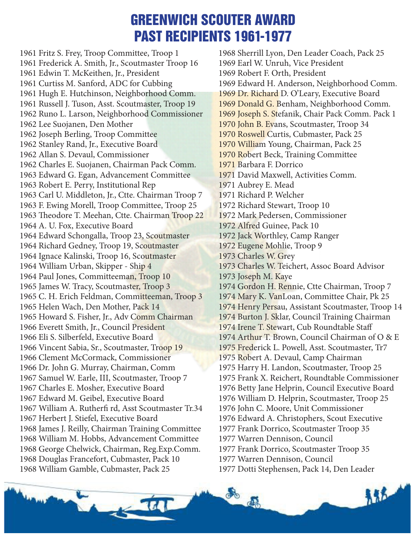# GREENWICH SCOUTER AWARD PAST RECIPIENTS 1961-1977

1961 Fritz S. Frey, Troop Committee, Troop 1 1961 Frederick A. Smith, Jr., Scoutmaster Troop 16 1961 Edwin T. McKeithen, Jr., President 1961 Curtiss M. Sanford, ADC for Cubbing 1961 Hugh E. Hutchinson, Neighborhood Comm. 1961 Russell J. Tuson, Asst. Scoutmaster, Troop 19 1962 Runo L. Larson, Neighborhood Commissioner 1962 Lee Suojanen, Den Mother 1962 Joseph Berling, Troop Committee 1962 Stanley Rand, Jr., Executive Board 1962 Allan S. Devaul, Commissioner 1962 Charles E. Suojanen, Chairman Pack Comm. 1963 Edward G. Egan, Advancement Committee 1963 Robert E. Perry, Institutional Rep 1963 Carl U. Middleton, Jr., Ctte. Chairman Troop 7 1963 F. Ewing Morell, Troop Committee, Troop 25 1963 Theodore T. Meehan, Ctte. Chairman Troop 22 1964 A. U. Fox, Executive Board 1964 Edward Schongalla, Troop 23, Scoutmaster 1964 Richard Gedney, Troop 19, Scoutmaster 1964 Ignace Kalinski, Troop 16, Scoutmaster 1964 William Urban, Skipper - Ship 4 1964 Paul Jones, Committeeman, Troop 10 1965 James W. Tracy, Scoutmaster, Troop 3 1965 C. H. Erich Feldman, Committeeman, Troop 3 1965 Helen Wach, Den Mother, Pack 14 1965 Howard S. Fisher, Jr., Adv Comm Chairman 1966 Everett Smith, Jr., Council President 1966 Eli S. Silberfeld, Executive Board 1966 Vincent Sabia, Sr., Scoutmaster, Troop 19 1966 Clement McCormack, Commissioner 1966 Dr. John G. Murray, Chairman, Comm 1967 Samuel W. Earle, III, Scoutmaster, Troop 7 1967 Charles E. Mosher, Executive Board 1967 Edward M. Geibel, Executive Board 1967 William A. Rutherfi rd, Asst Scoutmaster Tr.34 1967 Herbert J. Stiefel, Executive Board 1968 James J. Reilly, Chairman Training Committee 1968 William M. Hobbs, Advancement Committee 1968 George Chelwick, Chairman, Reg.Exp.Comm. 1968 Douglas Francefort, Cubmaster, Pack 10 1968 William Gamble, Cubmaster, Pack 25

1968 Sherrill Lyon, Den Leader Coach, Pack 25 1969 Earl W. Unruh, Vice President 1969 Robert F. Orth, President 1969 Edward H. Anderson, Neighborhood Comm. 1969 Dr. Richard D. O'Leary, Executive Board 1969 Donald G. Benham, Neighborhood Comm. 1969 Joseph S. Stefanik, Chair Pack Comm. Pack 1 1970 John B. Evans, Scoutmaster, Troop 34 1970 Roswell Curtis, Cubmaster, Pack 25 1970 William Young, Chairman, Pack 25 1970 Robert Beck, Training Committee 1971 Barbara F. Dorrico 1971 David Maxwell, Activities Comm. 1971 Aubrey E. Mead 1971 Richard P. Welcher 1972 Richard Stewart, Troop 10 1972 Mark Pedersen, Commissioner 1972 Alfred Guinee, Pack 10 1972 Jack Worthley, Camp Ranger 1972 Eugene Mohlie, Troop 9 1973 Charles W. Grey 1973 Charles W. Teichert, Assoc Board Advisor 1973 Joseph M. Kaye 1974 Gordon H. Rennie, Ctte Chairman, Troop 7 1974 Mary K. VanLoan, Committee Chair, Pk 25 1974 Henry Persau, Assistant Scoutmaster, Troop 14 1974 Burton J. Sklar, Council Training Chairman 1974 Irene T. Stewart, Cub Roundtable Staff 1974 Arthur T. Brown, Council Chairman of O & E 1975 Frederick L. Powell, Asst. Scoutmaster, Tr7 1975 Robert A. Devaul, Camp Chairman 1975 Harry H. Landon, Scoutmaster, Troop 25 1975 Frank X. Reichert, Roundtable Commissioner 1976 Betty Jane Helprin, Council Executive Board 1976 William D. Helprin, Scoutmaster, Troop 25 1976 John C. Moore, Unit Commissioner 1976 Edward A. Christophers, Scout Executive 1977 Frank Dorrico, Scoutmaster Troop 35 1977 Warren Dennison, Council 1977 Frank Dorrico, Scoutmaster Troop 35 1977 Warren Dennison, Council 1977 Dotti Stephensen, Pack 14, Den Leader

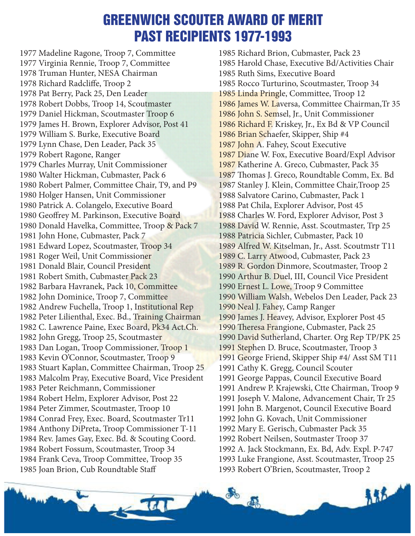### GREENWICH SCOUTER AWARD OF MERIT PAST RECIPIENTS 1977-1993

1977 Madeline Ragone, Troop 7, Committee 1977 Virginia Rennie, Troop 7, Committee 1978 Truman Hunter, NESA Chairman 1978 Richard Radcliffe, Troop 2 1978 Pat Berry, Pack 25, Den Leader 1978 Robert Dobbs, Troop 14, Scoutmaster 1979 Daniel Hickman, Scoutmaster Troop 6 1979 James H. Brown, Explorer Advisor, Post 41 1979 William S. Burke, Executive Board 1979 Lynn Chase, Den Leader, Pack 35 1979 Robert Ragone, Ranger 1979 Charles Murray, Unit Commissioner 1980 Walter Hickman, Cubmaster, Pack 6 1980 Robert Palmer, Committee Chair, T9, and P9 1980 Holger Hansen, Unit Commissioner 1980 Patrick A. Colangelo, Executive Board 1980 Geoffrey M. Parkinson, Executive Board 1980 Donald Havelka, Committee, Troop & Pack 7 1981 John Hone, Cubmaster, Pack 7 1981 Edward Lopez, Scoutmaster, Troop 34 1981 Roger Weil, Unit Commissioner 1981 Donald Blair, Council President 1981 Robert Smith, Cubmaster Pack 23 1982 Barbara Havranek, Pack 10, Committee 1982 John Dominice, Troop 7, Committee 1982 Andrew Fuchella, Troop 1, Institutional Rep 1982 Peter Lilienthal, Exec. Bd., Training Chairman 1982 C. Lawrence Paine, Exec Board, Pk34 Act.Ch. 1982 John Gregg, Troop 25, Scoutmaster 1983 Dan Logan, Troop Commissioner, Troop 1 1983 Kevin O'Connor, Scoutmaster, Troop 9 1983 Stuart Kaplan, Committee Chairman, Troop 25 1983 Malcolm Pray, Executive Board, Vice President 1983 Peter Reichmann, Commissioner 1984 Robert Helm, Explorer Advisor, Post 22 1984 Peter Zimmer, Scoutmaster, Troop 10 1984 Conrad Frey, Exec. Board, Scoutmaster Tr11 1984 Anthony DiPreta, Troop Commissioner T-11 1984 Rev. James Gay, Exec. Bd. & Scouting Coord. 1984 Robert Fossum, Scoutmaster, Troop 34 1984 Frank Ceva, Troop Committee, Troop 35 1985 Joan Brion, Cub Roundtable Staff

1985 Richard Brion, Cubmaster, Pack 23 1985 Harold Chase, Executive Bd/Activities Chair 1985 Ruth Sims, Executive Board 1985 Rocco Turturino, Scoutmaster, Troop 34 1985 Linda Pringle, Committee, Troop 12 1986 James W. Laversa, Committee Chairman,Tr 35 1986 John S. Semsel, Jr., Unit Commissioner 1986 Richard F. Kriskey, Jr., Ex Bd & VP Council 1986 Brian Schaefer, Skipper, Ship #4 1987 John A. Fahey, Scout Executive 1987 Diane W. Fox, Executive Board/Expl Advisor 1987 Katherine A. Greco, Cubmaster, Pack 35 1987 Thomas J. Greco, Roundtable Comm, Ex. Bd 1987 Stanley J. Klein, Committee Chair,Troop 25 1988 Salvatore Carino, Cubmaster, Pack 1 1988 Pat Chila, Explorer Advisor, Post 45 1988 Charles W. Ford, Explorer Advisor, Post 3 1988 David W. Rennie, Asst. Scoutmaster, Trp 25 1988 Patricia Sichler, Cubmaster, Pack 10 1989 Alfred W. Kitselman, Jr., Asst. Scoutmstr T11 1989 C. Larry Atwood, Cubmaster, Pack 23 1989 R. Gordon Dinmore, Scoutmaster, Troop 2 1990 Arthur B. Duel, III, Council Vice President 1990 Ernest L. Lowe, Troop 9 Committee 1990 William Walsh, Webelos Den Leader, Pack 23 1990 Neal J. Fahey, Camp Ranger 1990 James J. Heavey, Advisor, Explorer Post 45 1990 Theresa Frangione, Cubmaster, Pack 25 1990 David Sutherland, Charter. Org Rep TP/PK 25 1991 Stephen D. Bruce, Scoutmaster, Troop 3 1991 George Friend, Skipper Ship #4/ Asst SM T11 1991 Cathy K. Gregg, Council Scouter 1991 George Pappas, Council Executive Board 1991 Andrew P. Krajewski, Ctte Chairman, Troop 9 1991 Joseph V. Malone, Advancement Chair, Tr 25 1991 John B. Margenot, Council Executive Board 1992 John G. Kovach, Unit Commissioner 1992 Mary E. Gerisch, Cubmaster Pack 35 1992 Robert Neilsen, Soutmaster Troop 37 1992 A. Jack Stockmann, Ex. Bd, Adv. Expl. P-747 1993 Luke Frangione, Asst. Scoutmaster, Troop 25 1993 Robert O'Brien, Scoutmaster, Troop 2